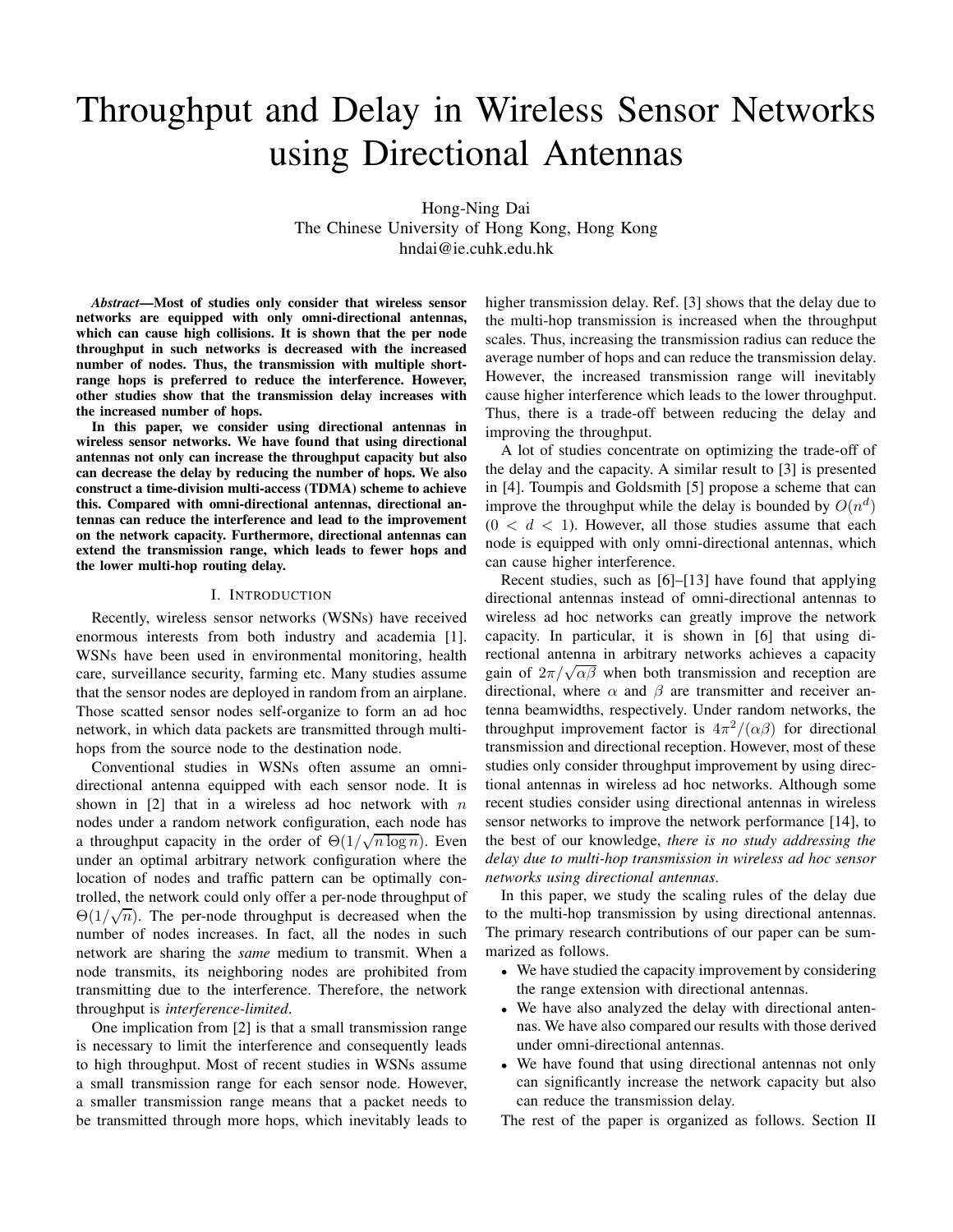# Throughput and Delay in Wireless Sensor Networks using Directional Antennas

Hong-Ning Dai The Chinese University of Hong Kong, Hong Kong hndai@ie.cuhk.edu.hk

*Abstract*—Most of studies only consider that wireless sensor networks are equipped with only omni-directional antennas, which can cause high collisions. It is shown that the per node throughput in such networks is decreased with the increased number of nodes. Thus, the transmission with multiple shortrange hops is preferred to reduce the interference. However, other studies show that the transmission delay increases with the increased number of hops.

In this paper, we consider using directional antennas in wireless sensor networks. We have found that using directional antennas not only can increase the throughput capacity but also can decrease the delay by reducing the number of hops. We also construct a time-division multi-access (TDMA) scheme to achieve this. Compared with omni-directional antennas, directional antennas can reduce the interference and lead to the improvement on the network capacity. Furthermore, directional antennas can extend the transmission range, which leads to fewer hops and the lower multi-hop routing delay.

#### I. INTRODUCTION

Recently, wireless sensor networks (WSNs) have received enormous interests from both industry and academia [1]. WSNs have been used in environmental monitoring, health care, surveillance security, farming etc. Many studies assume that the sensor nodes are deployed in random from an airplane. Those scatted sensor nodes self-organize to form an ad hoc network, in which data packets are transmitted through multihops from the source node to the destination node.

Conventional studies in WSNs often assume an omnidirectional antenna equipped with each sensor node. It is shown in  $[2]$  that in a wireless ad hoc network with n nodes under a random network configuration, each node has a throughput capacity in the order of  $\Theta(1/\sqrt{n \log n})$ . Even under an optimal arbitrary network configuration where the location of nodes and traffic pattern can be optimally controlled, the network could only offer a per-node throughput of  $\Theta(1/\sqrt{n})$ . The per-node throughput is decreased when the number of nodes increases. In fact, all the nodes in such network are sharing the *same* medium to transmit. When a node transmits, its neighboring nodes are prohibited from transmitting due to the interference. Therefore, the network throughput is *interference-limited*.

One implication from [2] is that a small transmission range is necessary to limit the interference and consequently leads to high throughput. Most of recent studies in WSNs assume a small transmission range for each sensor node. However, a smaller transmission range means that a packet needs to be transmitted through more hops, which inevitably leads to

higher transmission delay. Ref. [3] shows that the delay due to the multi-hop transmission is increased when the throughput scales. Thus, increasing the transmission radius can reduce the average number of hops and can reduce the transmission delay. However, the increased transmission range will inevitably cause higher interference which leads to the lower throughput. Thus, there is a trade-off between reducing the delay and improving the throughput.

A lot of studies concentrate on optimizing the trade-off of the delay and the capacity. A similar result to [3] is presented in [4]. Toumpis and Goldsmith [5] propose a scheme that can improve the throughput while the delay is bounded by  $O(n^d)$  $(0 < d < 1)$ . However, all those studies assume that each node is equipped with only omni-directional antennas, which can cause higher interference.

Recent studies, such as [6]–[13] have found that applying directional antennas instead of omni-directional antennas to wireless ad hoc networks can greatly improve the network capacity. In particular, it is shown in [6] that using directional antenna in arbitrary networks achieves a capacity gain of  $2\pi/\sqrt{\alpha\beta}$  when both transmission and reception are directional, where  $\alpha$  and  $\beta$  are transmitter and receiver antenna beamwidths, respectively. Under random networks, the throughput improvement factor is  $4\pi^2/(\alpha\beta)$  for directional transmission and directional reception. However, most of these studies only consider throughput improvement by using directional antennas in wireless ad hoc networks. Although some recent studies consider using directional antennas in wireless sensor networks to improve the network performance [14], to the best of our knowledge, *there is no study addressing the delay due to multi-hop transmission in wireless ad hoc sensor networks using directional antennas*.

In this paper, we study the scaling rules of the delay due to the multi-hop transmission by using directional antennas. The primary research contributions of our paper can be summarized as follows.

- We have studied the capacity improvement by considering the range extension with directional antennas.
- We have also analyzed the delay with directional antennas. We have also compared our results with those derived under omni-directional antennas.
- We have found that using directional antennas not only can significantly increase the network capacity but also can reduce the transmission delay.

The rest of the paper is organized as follows. Section II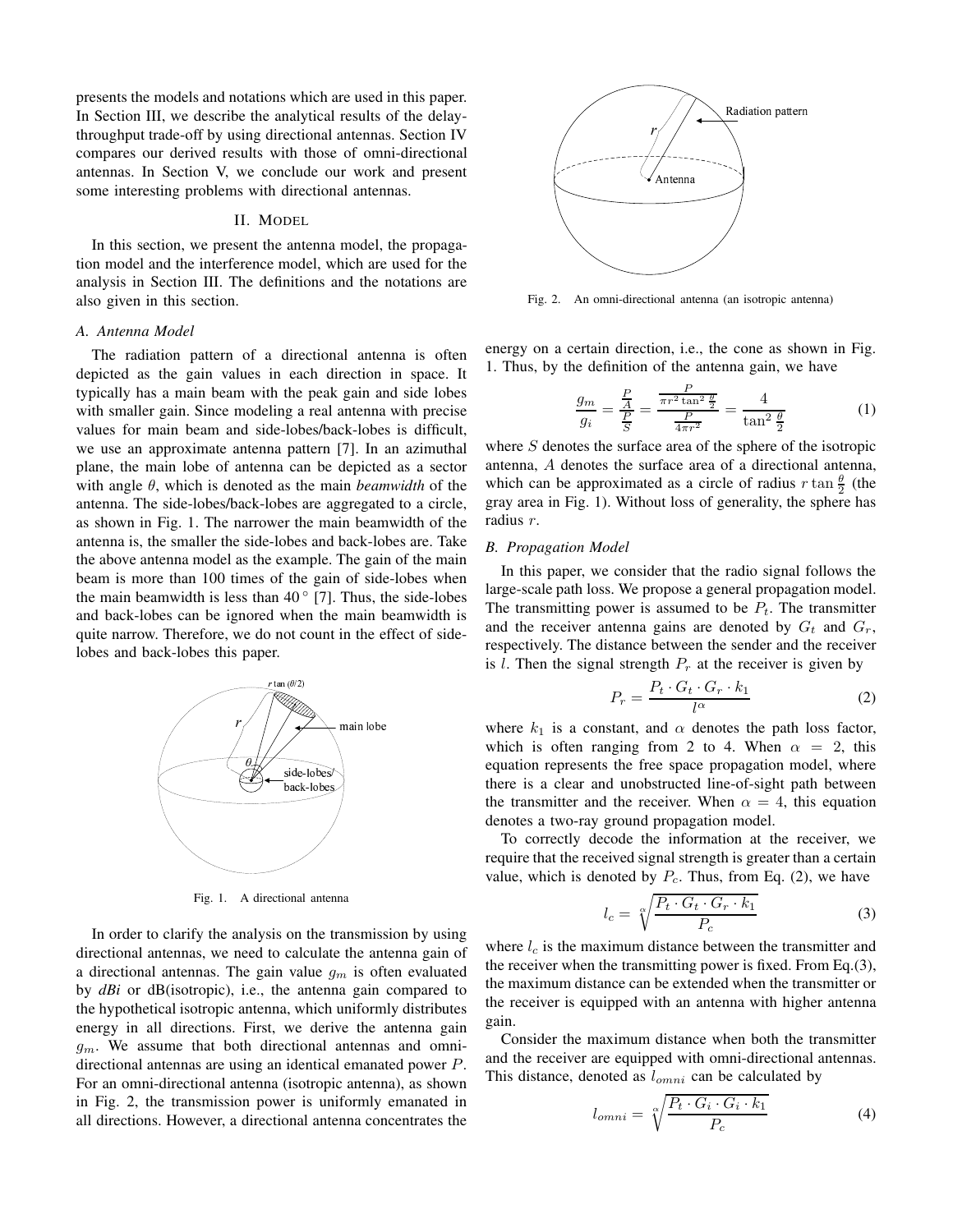presents the models and notations which are used in this paper. In Section III, we describe the analytical results of the delaythroughput trade-off by using directional antennas. Section IV compares our derived results with those of omni-directional antennas. In Section V, we conclude our work and present some interesting problems with directional antennas.

## II. MODEL

In this section, we present the antenna model, the propagation model and the interference model, which are used for the analysis in Section III. The definitions and the notations are also given in this section.

## *A. Antenna Model*

The radiation pattern of a directional antenna is often depicted as the gain values in each direction in space. It typically has a main beam with the peak gain and side lobes with smaller gain. Since modeling a real antenna with precise values for main beam and side-lobes/back-lobes is difficult, we use an approximate antenna pattern [7]. In an azimuthal plane, the main lobe of antenna can be depicted as a sector with angle θ, which is denoted as the main *beamwidth* of the antenna. The side-lobes/back-lobes are aggregated to a circle, as shown in Fig. 1. The narrower the main beamwidth of the antenna is, the smaller the side-lobes and back-lobes are. Take the above antenna model as the example. The gain of the main beam is more than 100 times of the gain of side-lobes when the main beamwidth is less than  $40^{\circ}$  [7]. Thus, the side-lobes and back-lobes can be ignored when the main beamwidth is quite narrow. Therefore, we do not count in the effect of sidelobes and back-lobes this paper.



Fig. 1. A directional antenna

In order to clarify the analysis on the transmission by using directional antennas, we need to calculate the antenna gain of a directional antennas. The gain value  $g_m$  is often evaluated by *dBi* or dB(isotropic), i.e., the antenna gain compared to the hypothetical isotropic antenna, which uniformly distributes energy in all directions. First, we derive the antenna gain  $q_m$ . We assume that both directional antennas and omnidirectional antennas are using an identical emanated power P. For an omni-directional antenna (isotropic antenna), as shown in Fig. 2, the transmission power is uniformly emanated in all directions. However, a directional antenna concentrates the



Fig. 2. An omni-directional antenna (an isotropic antenna)

energy on a certain direction, i.e., the cone as shown in Fig. 1. Thus, by the definition of the antenna gain, we have

$$
\frac{g_m}{g_i} = \frac{\frac{P}{A}}{\frac{P}{S}} = \frac{\frac{P}{\pi r^2 \tan^2 \frac{\theta}{2}}}{\frac{P}{4\pi r^2}} = \frac{4}{\tan^2 \frac{\theta}{2}}\tag{1}
$$

where  $S$  denotes the surface area of the sphere of the isotropic antenna, A denotes the surface area of a directional antenna, which can be approximated as a circle of radius  $r \tan \frac{\theta}{2}$  (the gray area in Fig. 1). Without loss of generality, the sphere has radius r.

## *B. Propagation Model*

In this paper, we consider that the radio signal follows the large-scale path loss. We propose a general propagation model. The transmitting power is assumed to be  $P_t$ . The transmitter and the receiver antenna gains are denoted by  $G_t$  and  $G_r$ , respectively. The distance between the sender and the receiver is l. Then the signal strength  $P_r$  at the receiver is given by

$$
P_r = \frac{P_t \cdot G_t \cdot G_r \cdot k_1}{l^{\alpha}} \tag{2}
$$

where  $k_1$  is a constant, and  $\alpha$  denotes the path loss factor, which is often ranging from 2 to 4. When  $\alpha = 2$ , this equation represents the free space propagation model, where there is a clear and unobstructed line-of-sight path between the transmitter and the receiver. When  $\alpha = 4$ , this equation denotes a two-ray ground propagation model.

To correctly decode the information at the receiver, we require that the received signal strength is greater than a certain value, which is denoted by  $P_c$ . Thus, from Eq. (2), we have

$$
l_c = \sqrt[\alpha]{\frac{P_t \cdot G_t \cdot G_r \cdot k_1}{P_c}} \tag{3}
$$

where  $l_c$  is the maximum distance between the transmitter and the receiver when the transmitting power is fixed. From Eq.(3), the maximum distance can be extended when the transmitter or the receiver is equipped with an antenna with higher antenna gain.

Consider the maximum distance when both the transmitter and the receiver are equipped with omni-directional antennas. This distance, denoted as  $l_{omni}$  can be calculated by

$$
l_{omni} = \sqrt[\alpha]{\frac{P_t \cdot G_i \cdot G_i \cdot k_1}{P_c}} \tag{4}
$$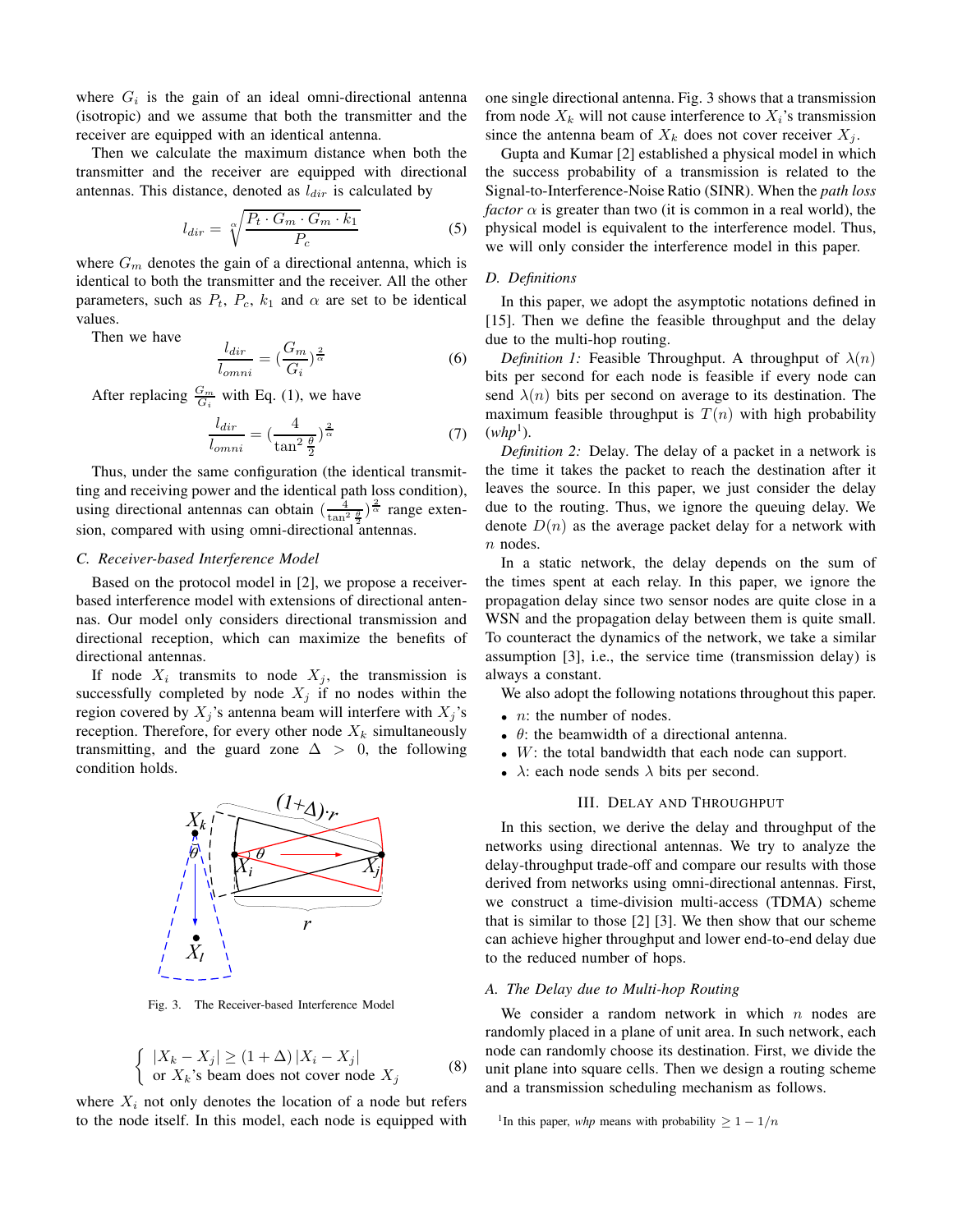where  $G_i$  is the gain of an ideal omni-directional antenna (isotropic) and we assume that both the transmitter and the receiver are equipped with an identical antenna.

Then we calculate the maximum distance when both the transmitter and the receiver are equipped with directional antennas. This distance, denoted as  $l_{dir}$  is calculated by

$$
l_{dir} = \sqrt[\alpha]{\frac{P_t \cdot G_m \cdot G_m \cdot k_1}{P_c}}
$$
 (5)

where  $G_m$  denotes the gain of a directional antenna, which is identical to both the transmitter and the receiver. All the other parameters, such as  $P_t$ ,  $P_c$ ,  $k_1$  and  $\alpha$  are set to be identical values.

Then we have

$$
\frac{l_{dir}}{l_{omni}} = \left(\frac{G_m}{G_i}\right)^{\frac{2}{\alpha}}\tag{6}
$$

After replacing  $\frac{G_m}{G_i}$  with Eq. (1), we have

$$
\frac{l_{dir}}{l_{omni}} = \left(\frac{4}{\tan^2\frac{\theta}{2}}\right)^{\frac{2}{\alpha}}\tag{7}
$$

Thus, under the same configuration (the identical transmitting and receiving power and the identical path loss condition), using directional antennas can obtain  $\left(\frac{4}{\tan^2 \frac{\theta}{2}}\right)^{\frac{2}{\alpha}}$  range extension, compared with using omni-directional antennas.

## *C. Receiver-based Interference Model*

Based on the protocol model in [2], we propose a receiverbased interference model with extensions of directional antennas. Our model only considers directional transmission and directional reception, which can maximize the benefits of directional antennas.

If node  $X_i$  transmits to node  $X_j$ , the transmission is successfully completed by node  $X_j$  if no nodes within the region covered by  $X_j$ 's antenna beam will interfere with  $X_j$ 's reception. Therefore, for every other node  $X_k$  simultaneously transmitting, and the guard zone  $\Delta > 0$ , the following condition holds.



Fig. 3. The Receiver-based Interference Model

$$
\begin{cases} |X_k - X_j| \ge (1 + \Delta) |X_i - X_j| \\ \text{or } X_k \text{'s beam does not cover node } X_j \end{cases}
$$
 (8)

where  $X_i$  not only denotes the location of a node but refers to the node itself. In this model, each node is equipped with one single directional antenna. Fig. 3 shows that a transmission from node  $X_k$  will not cause interference to  $X_i$ 's transmission since the antenna beam of  $X_k$  does not cover receiver  $X_j$ .

Gupta and Kumar [2] established a physical model in which the success probability of a transmission is related to the Signal-to-Interference-Noise Ratio (SINR). When the *path loss factor*  $\alpha$  is greater than two (it is common in a real world), the physical model is equivalent to the interference model. Thus, we will only consider the interference model in this paper.

### *D. Definitions*

In this paper, we adopt the asymptotic notations defined in [15]. Then we define the feasible throughput and the delay due to the multi-hop routing.

*Definition 1:* Feasible Throughput. A throughput of  $\lambda(n)$ bits per second for each node is feasible if every node can send  $\lambda(n)$  bits per second on average to its destination. The maximum feasible throughput is  $T(n)$  with high probability  $(whp<sup>1</sup>)$ .

*Definition 2:* Delay. The delay of a packet in a network is the time it takes the packet to reach the destination after it leaves the source. In this paper, we just consider the delay due to the routing. Thus, we ignore the queuing delay. We denote  $D(n)$  as the average packet delay for a network with n nodes.

In a static network, the delay depends on the sum of the times spent at each relay. In this paper, we ignore the propagation delay since two sensor nodes are quite close in a WSN and the propagation delay between them is quite small. To counteract the dynamics of the network, we take a similar assumption [3], i.e., the service time (transmission delay) is always a constant.

We also adopt the following notations throughout this paper.

- $n:$  the number of nodes.
- $\theta$ : the beamwidth of a directional antenna.
- $\bullet$  W: the total bandwidth that each node can support.
- $\lambda$ : each node sends  $\lambda$  bits per second.

## III. DELAY AND THROUGHPUT

In this section, we derive the delay and throughput of the networks using directional antennas. We try to analyze the delay-throughput trade-off and compare our results with those derived from networks using omni-directional antennas. First, we construct a time-division multi-access (TDMA) scheme that is similar to those [2] [3]. We then show that our scheme can achieve higher throughput and lower end-to-end delay due to the reduced number of hops.

### *A. The Delay due to Multi-hop Routing*

We consider a random network in which  $n$  nodes are randomly placed in a plane of unit area. In such network, each node can randomly choose its destination. First, we divide the unit plane into square cells. Then we design a routing scheme and a transmission scheduling mechanism as follows.

```
<sup>1</sup>In this paper, whp means with probability \geq 1 - 1/n
```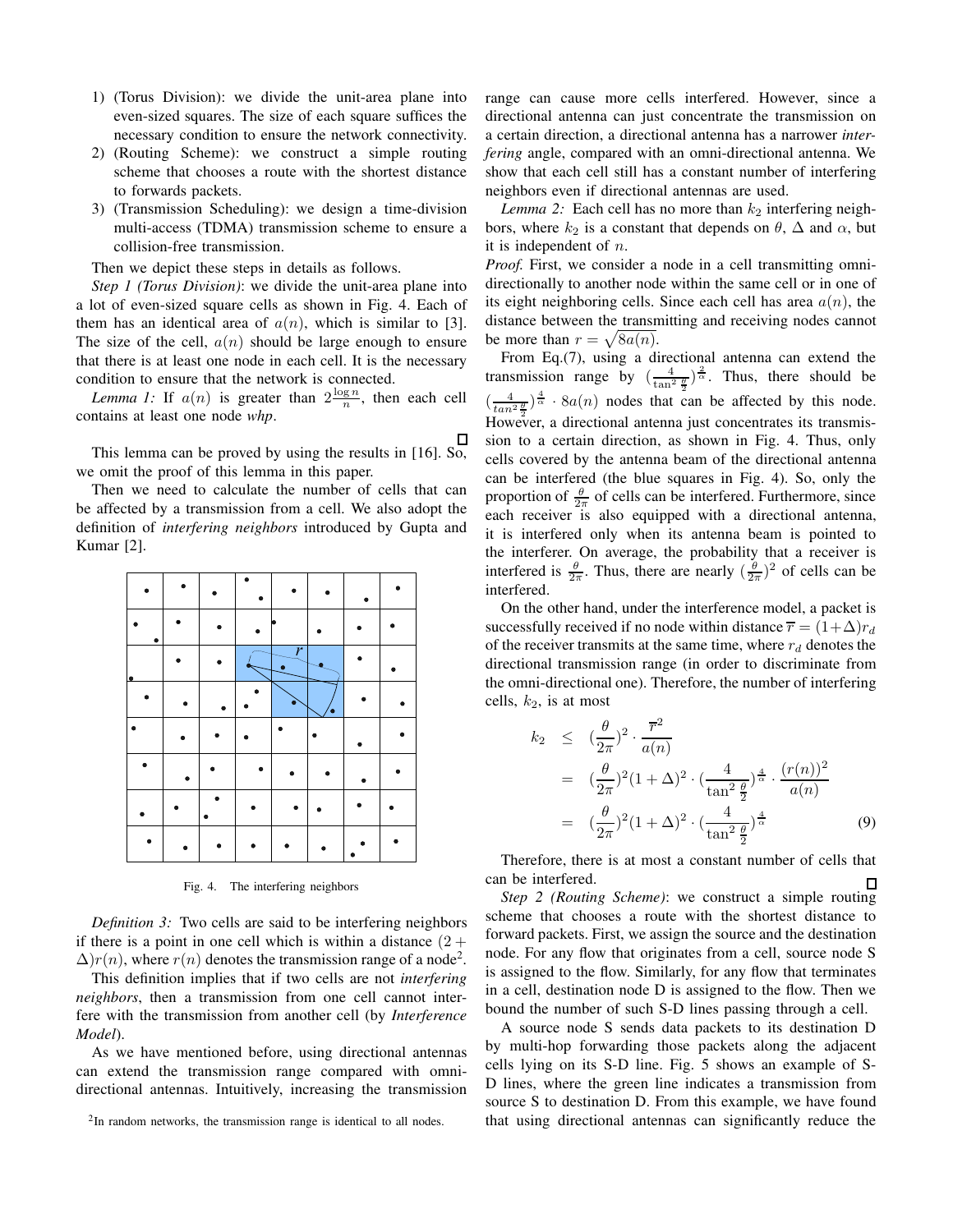- 1) (Torus Division): we divide the unit-area plane into even-sized squares. The size of each square suffices the necessary condition to ensure the network connectivity.
- 2) (Routing Scheme): we construct a simple routing scheme that chooses a route with the shortest distance to forwards packets.
- 3) (Transmission Scheduling): we design a time-division multi-access (TDMA) transmission scheme to ensure a collision-free transmission.

Then we depict these steps in details as follows.

*Step 1 (Torus Division)*: we divide the unit-area plane into a lot of even-sized square cells as shown in Fig. 4. Each of them has an identical area of  $a(n)$ , which is similar to [3]. The size of the cell,  $a(n)$  should be large enough to ensure that there is at least one node in each cell. It is the necessary condition to ensure that the network is connected.

*Lemma 1:* If  $a(n)$  is greater than  $2\frac{\log n}{n}$ , then each cell contains at least one node *whp*.

This lemma can be proved by using the results in [16]. So, we omit the proof of this lemma in this paper.

Then we need to calculate the number of cells that can be affected by a transmission from a cell. We also adopt the definition of *interfering neighbors* introduced by Gupta and Kumar [2].



Fig. 4. The interfering neighbors

*Definition 3:* Two cells are said to be interfering neighbors if there is a point in one cell which is within a distance  $(2 +$  $\Delta$ ) $r(n)$ , where  $r(n)$  denotes the transmission range of a node<sup>2</sup>.

This definition implies that if two cells are not *interfering neighbors*, then a transmission from one cell cannot interfere with the transmission from another cell (by *Interference Model*).

As we have mentioned before, using directional antennas can extend the transmission range compared with omnidirectional antennas. Intuitively, increasing the transmission

range can cause more cells interfered. However, since a directional antenna can just concentrate the transmission on a certain direction, a directional antenna has a narrower *interfering* angle, compared with an omni-directional antenna. We show that each cell still has a constant number of interfering neighbors even if directional antennas are used.

*Lemma 2:* Each cell has no more than  $k_2$  interfering neighbors, where  $k_2$  is a constant that depends on  $\theta$ ,  $\Delta$  and  $\alpha$ , but it is independent of n.

*Proof.* First, we consider a node in a cell transmitting omnidirectionally to another node within the same cell or in one of its eight neighboring cells. Since each cell has area  $a(n)$ , the distance between the transmitting and receiving nodes cannot be more than  $r = \sqrt{8a(n)}$ .

From Eq.(7), using a directional antenna can extend the transmission range by  $\left(\frac{4}{\tan^2 \frac{\theta}{2}}\right)^{\frac{2}{\alpha}}$ . Thus, there should be  $\left(\frac{4}{\tan^2 \frac{\theta}{2}}\right)^{\frac{4}{\alpha}}$  · 8a(n) nodes that can be affected by this node. However, a directional antenna just concentrates its transmission to a certain direction, as shown in Fig. 4. Thus, only cells covered by the antenna beam of the directional antenna can be interfered (the blue squares in Fig. 4). So, only the proportion of  $\frac{\theta}{2\pi}$  of cells can be interfered. Furthermore, since each receiver is also equipped with a directional antenna, it is interfered only when its antenna beam is pointed to the interferer. On average, the probability that a receiver is interfered is  $\frac{\theta}{2\pi}$ . Thus, there are nearly  $(\frac{\theta}{2\pi})^2$  of cells can be interfered.

On the other hand, under the interference model, a packet is successfully received if no node within distance  $\overline{r} = (1+\Delta)r_d$ of the receiver transmits at the same time, where  $r_d$  denotes the directional transmission range (in order to discriminate from the omni-directional one). Therefore, the number of interfering cells,  $k_2$ , is at most

$$
k_2 \leq \left(\frac{\theta}{2\pi}\right)^2 \cdot \frac{\overline{r}^2}{a(n)}
$$
  
=  $\left(\frac{\theta}{2\pi}\right)^2 (1+\Delta)^2 \cdot \left(\frac{4}{\tan^2 \frac{\theta}{2}}\right)^{\frac{4}{\alpha}} \cdot \frac{(r(n))^2}{a(n)}$   
=  $\left(\frac{\theta}{2\pi}\right)^2 (1+\Delta)^2 \cdot \left(\frac{4}{\tan^2 \frac{\theta}{2}}\right)^{\frac{4}{\alpha}}$  (9)

Therefore, there is at most a constant number of cells that can be interfered. П

*Step 2 (Routing Scheme)*: we construct a simple routing scheme that chooses a route with the shortest distance to forward packets. First, we assign the source and the destination node. For any flow that originates from a cell, source node S is assigned to the flow. Similarly, for any flow that terminates in a cell, destination node D is assigned to the flow. Then we bound the number of such S-D lines passing through a cell.

A source node S sends data packets to its destination D by multi-hop forwarding those packets along the adjacent cells lying on its S-D line. Fig. 5 shows an example of S-D lines, where the green line indicates a transmission from source S to destination D. From this example, we have found that using directional antennas can significantly reduce the

<sup>&</sup>lt;sup>2</sup>In random networks, the transmission range is identical to all nodes.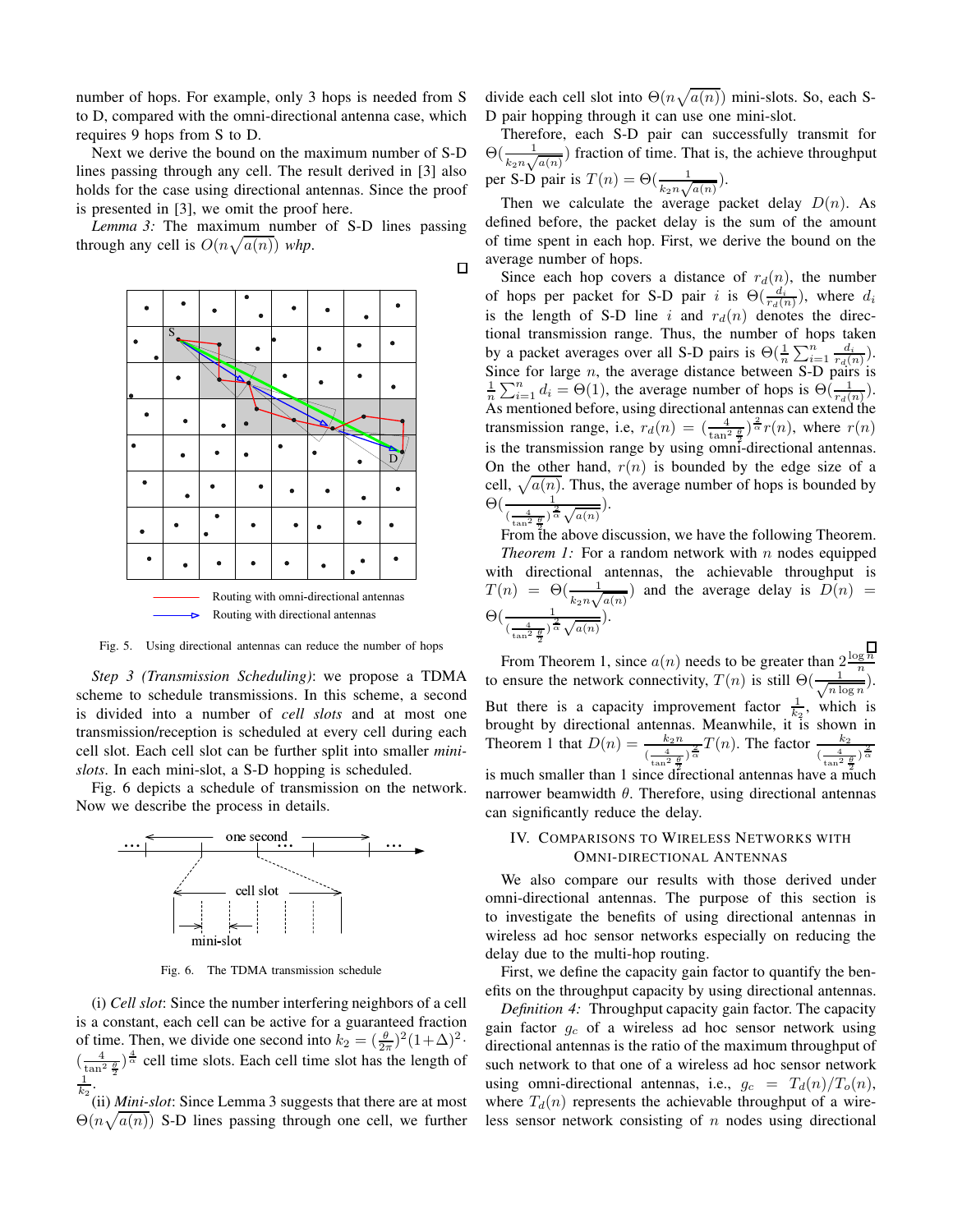number of hops. For example, only 3 hops is needed from S to D, compared with the omni-directional antenna case, which requires 9 hops from S to D.

Next we derive the bound on the maximum number of S-D lines passing through any cell. The result derived in [3] also holds for the case using directional antennas. Since the proof is presented in [3], we omit the proof here.

*Lemma 3:* The maximum number of S-D lines passing through any cell is  $O(n\sqrt{a(n)})$  whp.

 $\Box$ 



Fig. 5. Using directional antennas can reduce the number of hops

*Step 3 (Transmission Scheduling)*: we propose a TDMA scheme to schedule transmissions. In this scheme, a second is divided into a number of *cell slots* and at most one transmission/reception is scheduled at every cell during each cell slot. Each cell slot can be further split into smaller *minislots*. In each mini-slot, a S-D hopping is scheduled.

Fig. 6 depicts a schedule of transmission on the network. Now we describe the process in details.



Fig. 6. The TDMA transmission schedule

(i) *Cell slot*: Since the number interfering neighbors of a cell is a constant, each cell can be active for a guaranteed fraction of time. Then, we divide one second into  $k_2 = (\frac{\theta}{2\pi})^2 (1+\Delta)^2$ .  $\left(\frac{4}{\tan^2 \frac{\theta}{2}}\right)^{\frac{4}{\alpha}}$  cell time slots. Each cell time slot has the length of  $\frac{1}{k_2}$ .

(ii) *Mini-slot*: Since Lemma 3 suggests that there are at most  $\Theta(n\sqrt{a(n)})$  S-D lines passing through one cell, we further divide each cell slot into  $\Theta(n\sqrt{a(n)})$  mini-slots. So, each S-D pair hopping through it can use one mini-slot.

Therefore, each S-D pair can successfully transmit for  $\Theta(\frac{1}{k_2 n \sqrt{a(n)}})$  fraction of time. That is, the achieve throughput per S-D pair is  $T(n) = \Theta(\frac{1}{k_2 n \sqrt{a(n)}})$ .

Then we calculate the average packet delay  $D(n)$ . As defined before, the packet delay is the sum of the amount of time spent in each hop. First, we derive the bound on the average number of hops.

Since each hop covers a distance of  $r_d(n)$ , the number of hops per packet for S-D pair i is  $\Theta(\frac{d_i}{r_d(n)})$ , where  $d_i$ is the length of S-D line i and  $r_d(n)$  denotes the directional transmission range. Thus, the number of hops taken by a packet averages over all S-D pairs is  $\Theta(\frac{1}{n}\sum_{i=1}^n \frac{d_i}{r_d(n)})$ . Since for large *n*, the average distance between S-D pairs is  $\frac{1}{n}\sum_{i=1}^{n} d_i = \Theta(1)$ , the average number of hops is  $\Theta(\frac{1}{r_d(n)})$ . As mentioned before, using directional antennas can extend the transmission range, i.e,  $r_d(n) = \left(\frac{4}{\tan^2 \frac{\theta}{2}}\right)^{\frac{2}{\alpha}} r(n)$ , where  $r(n)$ is the transmission range by using omni-directional antennas. On the other hand,  $r(n)$  is bounded by the edge size of a cell,  $\sqrt{a(n)}$ . Thus, the average number of hops is bounded by  $\Theta\left(\frac{1}{\left(\frac{4}{\tan^2\frac{\theta}{2}}\right)^{\frac{2}{\alpha}}\sqrt{a(n)}}\right).$ 

From the above discussion, we have the following Theorem. *Theorem 1:* For a random network with  $n$  nodes equipped with directional antennas, the achievable throughput is  $T(n) = \Theta(\frac{1}{k_2 n \sqrt{a(n)}})$  and the average delay is  $D(n) =$  $\Theta\left(\frac{1}{\frac{4}{\tan^2\frac{\theta}{2}}\right)^{\frac{2}{\alpha}}\sqrt{a(n)}}\right).$ 

From Theorem 1, since  $a(n)$  needs to be greater than  $2\frac{\log n}{n}$ <br>to ensure the network connectivity,  $T(n)$  is still  $\Theta(\frac{1}{\sqrt{n \log n}})$ .  $\frac{1}{n \log n}$ ). But there is a capacity improvement factor  $\frac{1}{k_2}$ , which is brought by directional antennas. Meanwhile, it is shown in Theorem 1 that  $D(n) = \frac{k_2 n}{\left(\frac{4}{\tan^2 \frac{\theta}{2}}\right)^{\frac{2}{\alpha}}} T(n)$ . The factor  $\frac{k_2}{\left(\frac{4}{\tan^2 \frac{\theta}{2}}\right)^{\frac{2}{\alpha}}}$ is much smaller than 1 since directional antennas have a much narrower beamwidth  $θ$ . Therefore, using directional antennas can significantly reduce the delay.

## IV. COMPARISONS TO WIRELESS NETWORKS WITH OMNI-DIRECTIONAL ANTENNAS

We also compare our results with those derived under omni-directional antennas. The purpose of this section is to investigate the benefits of using directional antennas in wireless ad hoc sensor networks especially on reducing the delay due to the multi-hop routing.

First, we define the capacity gain factor to quantify the benefits on the throughput capacity by using directional antennas.

*Definition 4:* Throughput capacity gain factor. The capacity gain factor  $g_c$  of a wireless ad hoc sensor network using directional antennas is the ratio of the maximum throughput of such network to that one of a wireless ad hoc sensor network using omni-directional antennas, i.e.,  $g_c = T_d(n)/T_o(n)$ , where  $T_d(n)$  represents the achievable throughput of a wireless sensor network consisting of  $n$  nodes using directional